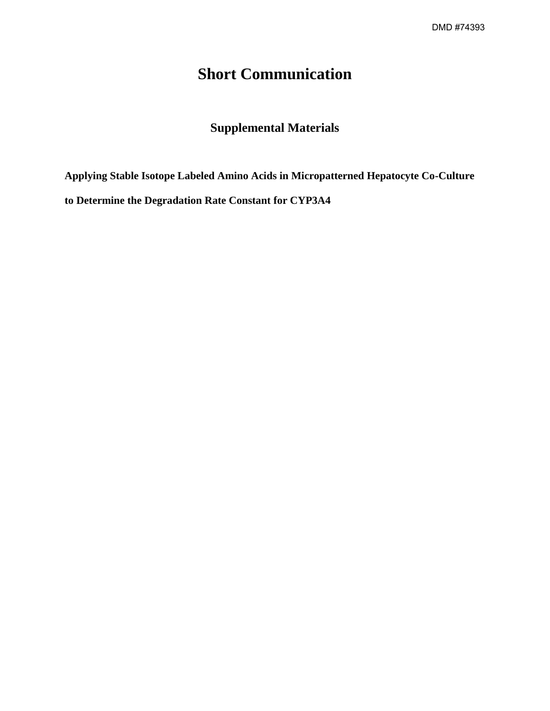## **Short Communication**

## **Supplemental Materials**

**Applying Stable Isotope Labeled Amino Acids in Micropatterned Hepatocyte Co-Culture to Determine the Degradation Rate Constant for CYP3A4**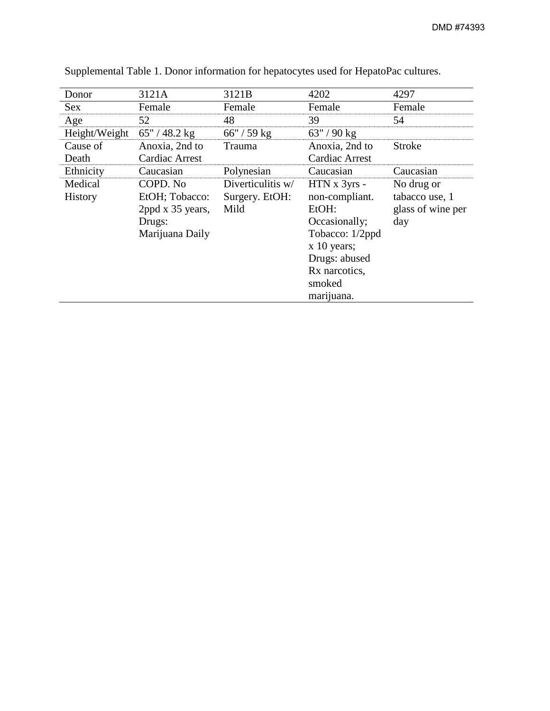| Donor            | 3121A           | 3121B             | 4202                  | 4297              |  |
|------------------|-----------------|-------------------|-----------------------|-------------------|--|
| <b>Sex</b>       | Female          | Female            | Female                | Female            |  |
| Age              | 52              | 48                | 39                    | 54                |  |
| Height/Weight    | $65''/48.2$ kg  | $66'' / 59$ kg    | $63''/90$ kg          |                   |  |
| Cause of         | Anoxia, 2nd to  | Trauma            | Anoxia, 2nd to        | Stroke            |  |
| Death            | Cardiac Arrest  |                   | <b>Cardiac Arrest</b> |                   |  |
| Ethnicity        | Caucasian       | Polynesian        | Caucasian             | Caucasian         |  |
| Medical          | COPD. No        | Diverticulitis w/ | HTN x 3yrs -          | No drug or        |  |
| <b>History</b>   | EtOH; Tobacco:  | Surgery. EtOH:    | non-compliant.        | tabacco use, 1    |  |
| 2ppd x 35 years, |                 | Mild              | EtOH:                 | glass of wine per |  |
|                  | Drugs:          |                   | Occasionally;<br>day  |                   |  |
|                  | Marijuana Daily |                   | Tobacco: 1/2ppd       |                   |  |
|                  |                 |                   | $x 10$ years;         |                   |  |
|                  |                 |                   | Drugs: abused         |                   |  |
|                  |                 |                   | Rx narcotics,         |                   |  |
|                  |                 |                   | smoked                |                   |  |
|                  |                 |                   | marijuana.            |                   |  |

Supplemental Table 1. Donor information for hepatocytes used for HepatoPac cultures.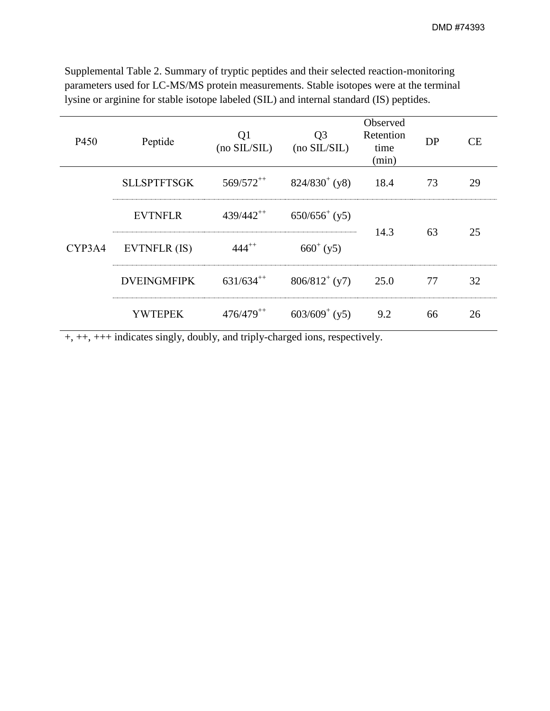Supplemental Table 2. Summary of tryptic peptides and their selected reaction-monitoring parameters used for LC-MS/MS protein measurements. Stable isotopes were at the terminal lysine or arginine for stable isotope labeled (SIL) and internal standard (IS) peptides.

| P450   | Peptide            | Q1<br>(no SIL/SIL) | Q <sub>3</sub><br>$(no$ SIL/SIL $)$ | Observed<br>Retention<br>time<br>(min) | DP | CE |
|--------|--------------------|--------------------|-------------------------------------|----------------------------------------|----|----|
| CYP3A4 | <b>SLLSPTFTSGK</b> | $569/572^{++}$     | $824/830^{+}$ (y8)                  | 18.4                                   | 73 | 29 |
|        | <b>EVTNFLR</b>     | $439/442^{++}$     | $650/656^{+}$ (y5)                  | 14.3                                   | 63 | 25 |
|        | EVTNFLR (IS)       | $444^{++}$         | $660^{+}$ (y5)                      |                                        |    |    |
|        | <b>DVEINGMFIPK</b> | $631/634^{++}$     | $806/812^{+}$ (y7)                  | 25.0                                   | 77 | 32 |
|        | <b>YWTEPEK</b>     | $476/479^{++}$     | $603/609^{+}$ (y5)                  | 9.2                                    | 66 | 26 |

+, ++, +++ indicates singly, doubly, and triply-charged ions, respectively.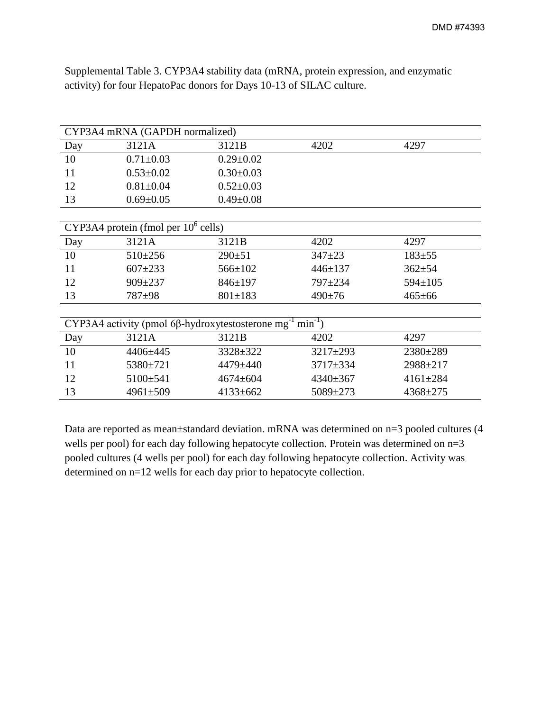| CYP3A4 mRNA (GAPDH normalized)                                                        |                 |                       |                              |                |  |  |  |
|---------------------------------------------------------------------------------------|-----------------|-----------------------|------------------------------|----------------|--|--|--|
| Day                                                                                   | 3121A           | 4202<br>3121B<br>4297 |                              |                |  |  |  |
| 10                                                                                    | $0.71 \pm 0.03$ | $0.29 \pm 0.02$       |                              |                |  |  |  |
| 11                                                                                    | $0.53 \pm 0.02$ | $0.30 \pm 0.03$       |                              |                |  |  |  |
| 12                                                                                    | $0.81 \pm 0.04$ | $0.52 \pm 0.03$       |                              |                |  |  |  |
| 13                                                                                    | $0.69 \pm 0.05$ | $0.49 \pm 0.08$       |                              |                |  |  |  |
|                                                                                       |                 |                       |                              |                |  |  |  |
| CYP3A4 protein (fmol per $10^6$ cells)                                                |                 |                       |                              |                |  |  |  |
| Day                                                                                   | 3121A           | 3121B                 | 4202                         | 4297           |  |  |  |
| 10                                                                                    | $510 \pm 256$   | $290 \pm 51$          | $347 + 23$                   | $183 + 55$     |  |  |  |
| 11                                                                                    | $607 + 233$     | 566±102               | $446 \pm 137$                | $362 \pm 54$   |  |  |  |
| 12                                                                                    | $909 \pm 237$   | $846 \pm 197$         | 797±234                      | $594 \pm 105$  |  |  |  |
| 13                                                                                    | 787±98          | $801 \pm 183$         | $490 \pm 76$<br>$465 \pm 66$ |                |  |  |  |
|                                                                                       |                 |                       |                              |                |  |  |  |
| $min^{-1}$ )<br>CYP3A4 activity (pmol 6 $\beta$ -hydroxytestosterone mg <sup>-1</sup> |                 |                       |                              |                |  |  |  |
| Day                                                                                   | 3121A           | 3121B                 | 4202                         | 4297           |  |  |  |
| 10                                                                                    | 4406±445        | 3328±322              | 3217±293                     | 2380±289       |  |  |  |
| 11                                                                                    | 5380±721        | 4479±440              | 3717±334                     | 2988±217       |  |  |  |
| 12                                                                                    | 5100±541        | 4674±604              | $4340 \pm 367$               | $4161 \pm 284$ |  |  |  |
| 13                                                                                    | $4961 \pm 509$  | 4133±662              | 4368±275<br>5089±273         |                |  |  |  |

Supplemental Table 3. CYP3A4 stability data (mRNA, protein expression, and enzymatic activity) for four HepatoPac donors for Days 10-13 of SILAC culture.

Data are reported as mean±standard deviation. mRNA was determined on n=3 pooled cultures (4 wells per pool) for each day following hepatocyte collection. Protein was determined on  $n=3$ pooled cultures (4 wells per pool) for each day following hepatocyte collection. Activity was determined on n=12 wells for each day prior to hepatocyte collection.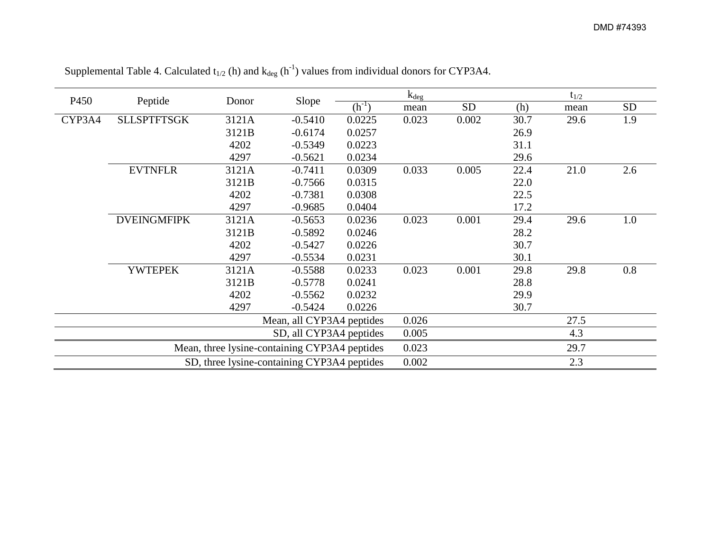| P <sub>450</sub>                              | Peptide                   | Slope<br>Donor |            | $k_{\text{deg}}$ |           |       | $t_{1/2}$ |           |     |
|-----------------------------------------------|---------------------------|----------------|------------|------------------|-----------|-------|-----------|-----------|-----|
|                                               |                           |                | $(h^{-1})$ | mean             | <b>SD</b> | (h)   | mean      | <b>SD</b> |     |
| CYP3A4                                        | <b>SLLSPTFTSGK</b>        | 3121A          | $-0.5410$  | 0.0225           | 0.023     | 0.002 | 30.7      | 29.6      | 1.9 |
|                                               |                           | 3121B          | $-0.6174$  | 0.0257           |           |       | 26.9      |           |     |
|                                               |                           | 4202           | $-0.5349$  | 0.0223           |           |       | 31.1      |           |     |
|                                               |                           | 4297           | $-0.5621$  | 0.0234           |           |       | 29.6      |           |     |
|                                               | <b>EVTNFLR</b>            | 3121A          | $-0.7411$  | 0.0309           | 0.033     | 0.005 | 22.4      | 21.0      | 2.6 |
|                                               |                           | 3121B          | $-0.7566$  | 0.0315           |           |       | 22.0      |           |     |
|                                               |                           | 4202           | $-0.7381$  | 0.0308           |           |       | 22.5      |           |     |
|                                               |                           | 4297           | $-0.9685$  | 0.0404           |           |       | 17.2      |           |     |
|                                               | <b>DVEINGMFIPK</b>        | 3121A          | $-0.5653$  | 0.0236           | 0.023     | 0.001 | 29.4      | 29.6      | 1.0 |
|                                               |                           | 3121B          | $-0.5892$  | 0.0246           |           |       | 28.2      |           |     |
|                                               |                           | 4202           | $-0.5427$  | 0.0226           |           |       | 30.7      |           |     |
|                                               |                           | 4297           | $-0.5534$  | 0.0231           |           |       | 30.1      |           |     |
|                                               | <b>YWTEPEK</b>            | 3121A          | $-0.5588$  | 0.0233           | 0.023     | 0.001 | 29.8      | 29.8      | 0.8 |
|                                               |                           | 3121B          | $-0.5778$  | 0.0241           |           |       | 28.8      |           |     |
|                                               |                           | 4202           | $-0.5562$  | 0.0232           |           |       | 29.9      |           |     |
|                                               |                           | 4297           | $-0.5424$  | 0.0226           |           |       | 30.7      |           |     |
|                                               | Mean, all CYP3A4 peptides |                |            | 0.026            |           |       | 27.5      |           |     |
| SD, all CYP3A4 peptides                       |                           |                | 0.005      |                  |           | 4.3   |           |           |     |
| Mean, three lysine-containing CYP3A4 peptides |                           |                | 0.023      |                  |           | 29.7  |           |           |     |
| SD, three lysine-containing CYP3A4 peptides   |                           |                | 0.002      |                  |           | 2.3   |           |           |     |

Supplemental Table 4. Calculated  $t_{1/2}$  (h) and  $k_{deg}$  (h<sup>-1</sup>) values from individual donors for CYP3A4.